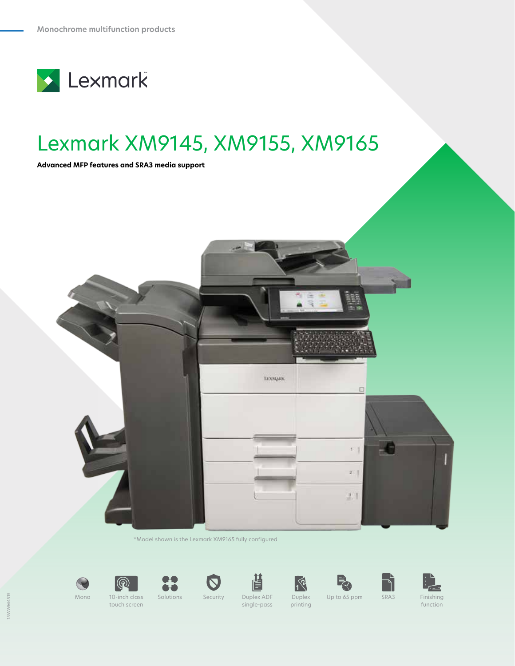

# Lexmark XM9145, XM9155, XM9165

**Advanced MFP features and SRA3 media support**



\*Model shown is the Lexmark XM9165 fully configured





touch screen

Mono 10-inch class



閶 Solutions Security Duplex ADF single-pass Duplex

printing





Up to 65 ppm SRA3 Finishing

function

15WWM4515 5WWWM451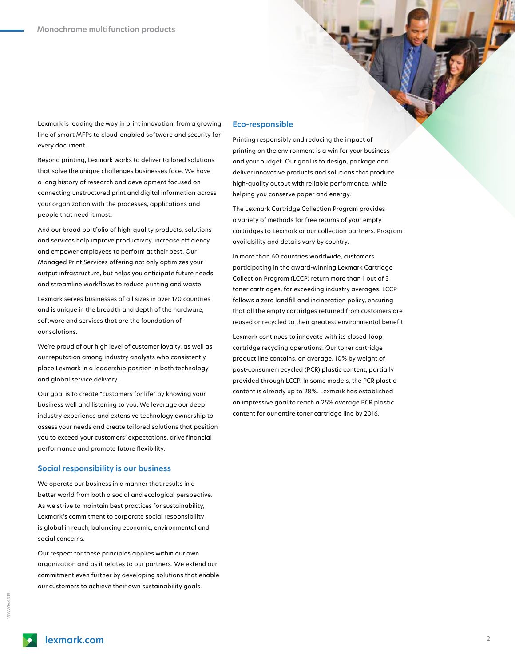Lexmark is leading the way in print innovation, from a growing line of smart MFPs to cloud-enabled software and security for every document.

Beyond printing, Lexmark works to deliver tailored solutions that solve the unique challenges businesses face. We have a long history of research and development focused on connecting unstructured print and digital information across your organization with the processes, applications and people that need it most.

And our broad portfolio of high-quality products, solutions and services help improve productivity, increase efficiency and empower employees to perform at their best. Our Managed Print Services offering not only optimizes your output infrastructure, but helps you anticipate future needs and streamline workflows to reduce printing and waste.

Lexmark serves businesses of all sizes in over 170 countries and is unique in the breadth and depth of the hardware, software and services that are the foundation of our solutions.

We're proud of our high level of customer loyalty, as well as our reputation among industry analysts who consistently place Lexmark in a leadership position in both technology and global service delivery.

Our goal is to create "customers for life" by knowing your business well and listening to you. We leverage our deep industry experience and extensive technology ownership to assess your needs and create tailored solutions that position you to exceed your customers' expectations, drive financial performance and promote future flexibility.

### **Social responsibility is our business**

We operate our business in a manner that results in a better world from both a social and ecological perspective. As we strive to maintain best practices for sustainability, Lexmark's commitment to corporate social responsibility is global in reach, balancing economic, environmental and social concerns.

Our respect for these principles applies within our own organization and as it relates to our partners. We extend our commitment even further by developing solutions that enable our customers to achieve their own sustainability goals.

## **Eco-responsible**

Printing responsibly and reducing the impact of printing on the environment is a win for your business and your budget. Our goal is to design, package and deliver innovative products and solutions that produce high-quality output with reliable performance, while helping you conserve paper and energy.

The Lexmark Cartridge Collection Program provides a variety of methods for free returns of your empty cartridges to Lexmark or our collection partners. Program availability and details vary by country.

In more than 60 countries worldwide, customers participating in the award-winning Lexmark Cartridge Collection Program (LCCP) return more than 1 out of 3 toner cartridges, far exceeding industry averages. LCCP follows a zero landfill and incineration policy, ensuring that all the empty cartridges returned from customers are reused or recycled to their greatest environmental benefit.

Lexmark continues to innovate with its closed-loop cartridge recycling operations. Our toner cartridge product line contains, on average, 10% by weight of post-consumer recycled (PCR) plastic content, partially provided through LCCP. In some models, the PCR plastic content is already up to 28%. Lexmark has established an impressive goal to reach a 25% average PCR plastic content for our entire toner cartridge line by 2016.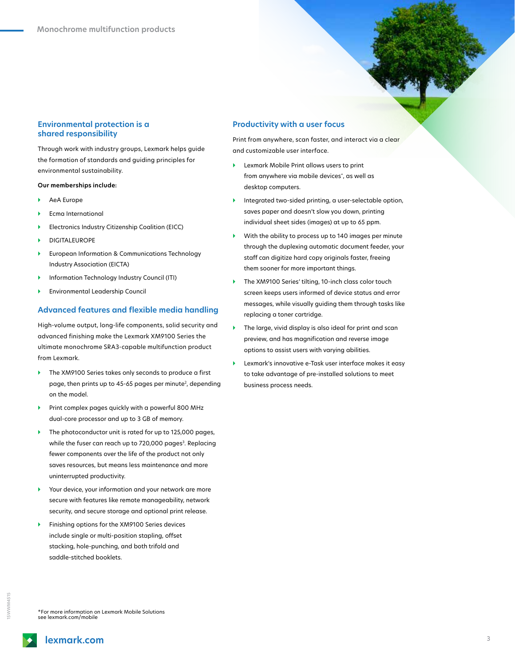# **Environmental protection is a shared responsibility**

Through work with industry groups, Lexmark helps guide the formation of standards and guiding principles for environmental sustainability.

### **Our memberships include:**

- } AeA Europe
- Ecma International
- } Electronics Industry Citizenship Coalition (EICC)
- } DIGITALEUROPE
- } European Information & Communications Technology Industry Association (EICTA)
- Information Technology Industry Council (ITI)
- } Environmental Leadership Council

# **Advanced features and flexible media handling**

High-volume output, long-life components, solid security and advanced finishing make the Lexmark XM9100 Series the ultimate monochrome SRA3-capable multifunction product from Lexmark.

- ▶ The XM9100 Series takes only seconds to produce a first page, then prints up to 45-65 pages per minute<sup>2</sup>, depending on the model.
- Print complex pages quickly with a powerful 800 MHz dual-core processor and up to 3 GB of memory.
- ▶ The photoconductor unit is rated for up to 125,000 pages, while the fuser can reach up to 720,000 pages<sup>3</sup>. Replacing fewer components over the life of the product not only saves resources, but means less maintenance and more uninterrupted productivity.
- Your device, your information and your network are more secure with features like remote manageability, network security, and secure storage and optional print release.
- Finishing options for the XM9100 Series devices include single or multi-position stapling, offset stacking, hole-punching, and both trifold and saddle-stitched booklets.

## **Productivity with a user focus**

Print from anywhere, scan faster, and interact via a clear and customizable user interface.

- Lexmark Mobile Print allows users to print from anywhere via mobile devices\*, as well as desktop computers.
- Integrated two-sided printing, a user-selectable option, saves paper and doesn't slow you down, printing individual sheet sides (images) at up to 65 ppm.
- With the ability to process up to 140 images per minute through the duplexing automatic document feeder, your staff can digitize hard copy originals faster, freeing them sooner for more important things.
- The XM9100 Series' tilting, 10-inch class color touch screen keeps users informed of device status and error messages, while visually guiding them through tasks like replacing a toner cartridge.
- The large, vivid display is also ideal for print and scan preview, and has magnification and reverse image options to assist users with varying abilities.
- Lexmark's innovative e-Task user interface makes it easy to take advantage of pre-installed solutions to meet business process needs.

\*For more information on Lexmark Mobile Solutions see lexmark.com/mobile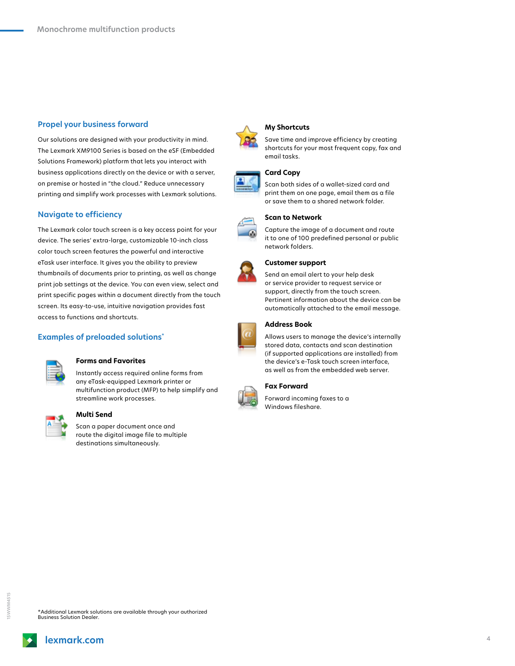# **Propel your business forward**

Our solutions are designed with your productivity in mind. The Lexmark XM9100 Series is based on the eSF (Embedded Solutions Framework) platform that lets you interact with business applications directly on the device or with a server, on premise or hosted in "the cloud." Reduce unnecessary printing and simplify work processes with Lexmark solutions.

# **Navigate to efficiency**

The Lexmark color touch screen is a key access point for your device. The series' extra-large, customizable 10-inch class color touch screen features the powerful and interactive eTask user interface. It gives you the ability to preview thumbnails of documents prior to printing, as well as change print job settings at the device. You can even view, select and print specific pages within a document directly from the touch screen. Its easy-to-use, intuitive navigation provides fast access to functions and shortcuts.

# **Examples of preloaded solutions\***

**Multi Send**



# **Forms and Favorites**

Scan a paper document once and route the digital image file to multiple destinations simultaneously.

Instantly access required online forms from any eTask-equipped Lexmark printer or multifunction product (MFP) to help simplify and streamline work processes.



# **My Shortcuts**

Save time and improve efficiency by creating shortcuts for your most frequent copy, fax and email tasks.

## **Card Copy**

Scan both sides of a wallet-sized card and print them on one page, email them as a file or save them to a shared network folder.



Capture the image of a document and route it to one of 100 predefined personal or public network folders.



#### **Customer support**

Send an email alert to your help desk or service provider to request service or support, directly from the touch screen. Pertinent information about the device can be automatically attached to the email message.

#### **Address Book**

Allows users to manage the device's internally stored data, contacts and scan destination (if supported applications are installed) from the device's e-Task touch screen interface, as well as from the embedded web server.

## **Fax Forward**



15WWM4515 5WWWM451

Business Solution Dealer.

\*Additional Lexmark solutions are available through your authorized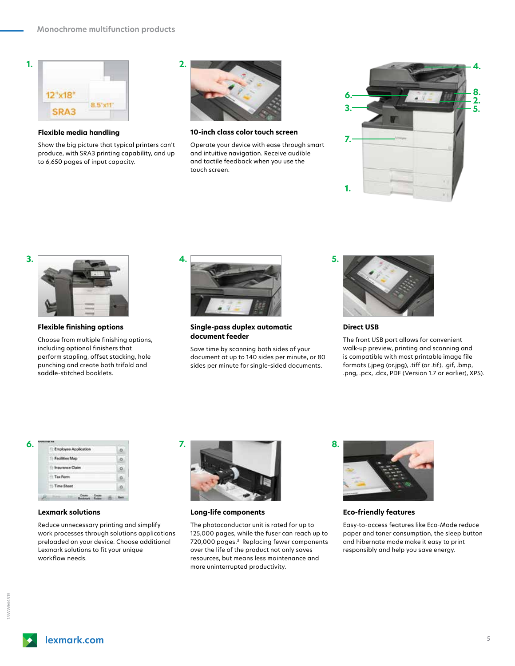

**Flexible media handling**

Show the big picture that typical printers can't produce, with SRA3 printing capability, and up to 6,650 pages of input capacity.



**10-inch class color touch screen**

Operate your device with ease through smart and intuitive navigation. Receive audible and tactile feedback when you use the touch screen.





**Flexible finishing options**

Choose from multiple finishing options, including optional finishers that perform stapling, offset stacking, hole punching and create both trifold and saddle-stitched booklets.



**Single-pass duplex automatic document feeder**

Save time by scanning both sides of your document at up to 140 sides per minute, or 80 sides per minute for single-sided documents.



**Direct USB**

The front USB port allows for convenient walk-up preview, printing and scanning and is compatible with most printable image file formats (.jpeg (or.jpg), .tiff (or .tif), .gif, .bmp, .png, .pcx, .dcx, PDF (Version 1.7 or earlier), XPS).

| <b>Employee Application</b> |  |
|-----------------------------|--|
| Facilities Map              |  |
| <b>Insurance Claim</b>      |  |
| Tax Form                    |  |
| Time Sheet                  |  |

## **Lexmark solutions**

Reduce unnecessary printing and simplify work processes through solutions applications preloaded on your device. Choose additional Lexmark solutions to fit your unique workflow needs.



**Long-life components**

The photoconductor unit is rated for up to 125,000 pages, while the fuser can reach up to 720,000 pages.3 Replacing fewer components over the life of the product not only saves resources, but means less maintenance and more uninterrupted productivity.



**Eco-friendly features**

Easy-to-access features like Eco-Mode reduce paper and toner consumption, the sleep button and hibernate mode make it easy to print responsibly and help you save energy.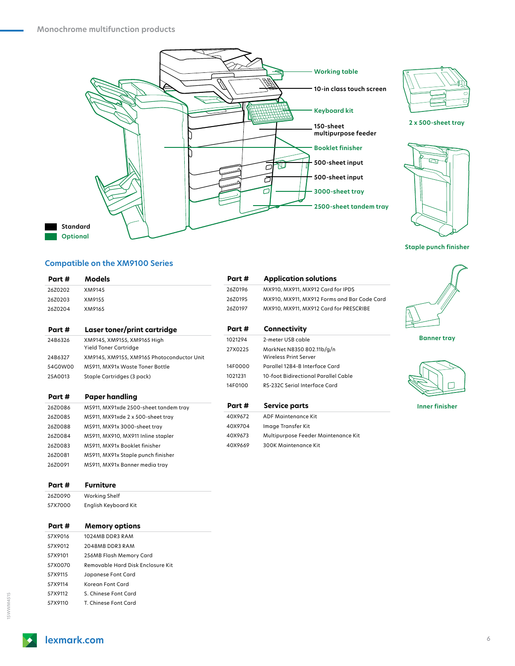



**2 x 500-sheet tray**



**Staple punch finisher**

 $\curvearrowright$ 

# **Compatible on the XM9100 Series**

| Part #  | <b>Models</b>                              | Part #  | <b>Application solutions</b>                |                       |
|---------|--------------------------------------------|---------|---------------------------------------------|-----------------------|
| 26Z0202 | XM9145                                     | 26Z0196 | MX910, MX911, MX912 Card for IPDS           |                       |
| 26Z0203 | XM9155                                     | 26Z0195 | MX910, MX911, MX912 Forms and Bar Code Card |                       |
| 26Z0204 | XM9165                                     | 26Z0197 | MX910, MX911, MX912 Card for PRESCRIBE      |                       |
| Part #  | Laser toner/print cartridge                | Part #  | Connectivity                                |                       |
| 24B6326 | XM9145, XM9155, XM9165 High                | 1021294 | 2-meter USB cable                           | <b>Banner tray</b>    |
|         | Yield Toner Cartridge                      | 27X0225 | MarkNet N8350 802.11b/g/n                   |                       |
| 24B6327 | XM9145, XM9155, XM9165 Photoconductor Unit |         | <b>Wireless Print Server</b>                |                       |
| 54G0W00 | MS911, MX91x Waste Toner Bottle            | 14F0000 | Parallel 1284-B Interface Card              |                       |
| 25A0013 | Staple Cartridges (3 pack)                 | 1021231 | 10-foot Bidirectional Parallel Cable        |                       |
|         |                                            | 14F0100 | RS-232C Serial Interface Card               |                       |
| Part #  | <b>Paper handling</b>                      |         |                                             |                       |
| 26Z0086 | MS911, MX91xde 2500-sheet tandem tray      | Part #  | <b>Service parts</b>                        | <b>Inner finisher</b> |
| 26Z0085 | MS911, MX91xde 2 x 500-sheet tray          | 40X9672 | <b>ADF Maintenance Kit</b>                  |                       |
| 26Z0088 | MS911, MX91x 3000-sheet tray               | 40X9704 | Image Transfer Kit                          |                       |
| 26Z0084 | MS911, MX910, MX911 Inline stapler         | 40X9673 | Multipurpose Feeder Maintenance Kit         |                       |
| 26Z0083 | MS911, MX91x Booklet finisher              | 40X9669 | <b>300K Maintenance Kit</b>                 |                       |
| 26Z0081 | MS911, MX91x Staple punch finisher         |         |                                             |                       |
| 26Z0091 | MS911, MX91x Banner media tray             |         |                                             |                       |
| Part #  | <b>Furniture</b>                           |         |                                             |                       |
| 26Z0090 | Working Shelf                              |         |                                             |                       |
| 57X7000 | English Keyboard Kit                       |         |                                             |                       |
| Part #  | <b>Memory options</b>                      |         |                                             |                       |
| 57X9016 | 1024MB DDR3 RAM                            |         |                                             |                       |
| 57X9012 | 2048MB DDR3 RAM                            |         |                                             |                       |
| 57X9101 | 256MB Flash Memory Card                    |         |                                             |                       |
| 57X0070 | Removable Hard Disk Enclosure Kit          |         |                                             |                       |
| 57X9115 | Japanese Font Card                         |         |                                             |                       |
| 57X9114 | Korean Font Card                           |         |                                             |                       |
| 57X9112 | S. Chinese Font Card                       |         |                                             |                       |